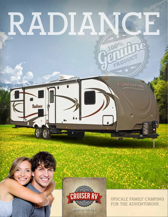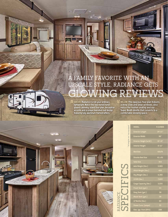# **A FAMILY FAVORITE WITH AN UPSCALE STYLE, RADIANCE GETS GLOWING REVIEWS**

ABOVE: Radiance is not your ordinary lightweight. Notice the two-toned handglazed cabinetry, island floor plan, decorative accents and a unique barrelled roof design featuring fully aluminum framed rafters.

hh

BELOW: This spacious floor plan features a deep slide and large windows. Also notice the leather seating and our Super Booth dinette that converts to a comfortable sleeping space.  $\blacktriangledown$ 

\* All weights are "non-equipped"



*<u>Trimmer</u>* 

| <b>MODEL</b>                  | R-21RBIK            |
|-------------------------------|---------------------|
| <b>Exterior Length</b>        | $24' - 11"$         |
| <b>Exterior Width</b>         | 96"                 |
| <b>Exterior Height (W/AC)</b> | $10' - 10"$         |
| <b>Interior Height</b>        | $6' - 11"$          |
| <b>Bed Size</b>               | $60x$ <sup>74</sup> |
| <b>Dinette Bed Size</b>       | 41 x 81             |
| <b>Sofa Size</b>              | N/A                 |
| Axle Weight (Ibs.)            | 3,965               |
| Hitch Weight (Ibs.)           | 400                 |
| Dry Weight (Ibs.)             | 4,365               |
| <b>GVWR</b> (Ibs.)            | 7,400               |
| Cargo Capacity (Ibs.)         | 3,035               |
| Fresh Tank (gal.)             | 44                  |
| Gray Tank (gal.)              | 38                  |
| <b>Black Tank (gal.)</b>      | 38                  |
| LP Bottle (Ibs.)              | 60                  |
| <b>Power Conv. (amps)</b>     | 55                  |
| Elec. Ign. Furn (BTU)         | <b>20K</b>          |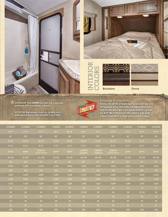











### EXCLUSIVE TO CRUISER RV

| <b>Blackstone</b><br><b>Sienna</b><br><b>EXCLUSIVE TO CRUISER RV</b><br>BATHROOM: This 28BHIK floor plan has a spacious<br>One key fits all? It's a hassle figuring out which key is for<br>bathroom with a secondary entrance.<br>the baggage doors, which key is deadbolt, which key is<br>door handle, which key is the outside kitchen--you get<br>BEDROOM: Hard privacy doors vs. curtains and a<br>our drift? We're the genuine RV company with smart<br>walk-around Queen sized bed take it up a notch.<br>features guaranteed to make your customers happy! |            |                                  |            |             |                      |                      |                                  |             |             |             |
|---------------------------------------------------------------------------------------------------------------------------------------------------------------------------------------------------------------------------------------------------------------------------------------------------------------------------------------------------------------------------------------------------------------------------------------------------------------------------------------------------------------------------------------------------------------------|------------|----------------------------------|------------|-------------|----------------------|----------------------|----------------------------------|-------------|-------------|-------------|
| R-22RBDS                                                                                                                                                                                                                                                                                                                                                                                                                                                                                                                                                            | R-23RBUS   | R-24BHDS                         | R-26KISL   | R-27BHSL    | R-28BHIK             | R-28BHSS             | <b>R-280BSS</b>                  | R-28RLSS    | R-30RKSS    | R-31DSBH    |
| $26' - 6"$                                                                                                                                                                                                                                                                                                                                                                                                                                                                                                                                                          | $27 - 6"$  | $28 - 5"$                        | 29'-8"     | 30'-10"     | $31' - 5"$           | $31' - 9"$           | $32' - 8"$                       | $32' - 0"$  | $35' - 0"$  | $35' - 3"$  |
| 96"                                                                                                                                                                                                                                                                                                                                                                                                                                                                                                                                                                 | 96"        | 96"                              | 96"        | 96"         | 96"                  | 96"                  | 96"                              | 96"         | 96"         | 96"         |
| 10'-10"                                                                                                                                                                                                                                                                                                                                                                                                                                                                                                                                                             | 10'-10"    | $10' - 10"$                      | 10'-10"    | $10' - 10"$ | $10' - 10"$          | $10' - 10"$          | 10'-10"                          | $10' - 10"$ | $11' - 0''$ | $11' - 0''$ |
| $6' - 11"$                                                                                                                                                                                                                                                                                                                                                                                                                                                                                                                                                          | $6' - 11'$ | $6' - 11"$                       | $6' - 11"$ | $6' - 11"$  | $6' - 11'$           | $6' - 11"$           | $6' - 11"$                       | $6' - 11"$  | $6' - 11"$  | $6' - 11"$  |
| 60x74                                                                                                                                                                                                                                                                                                                                                                                                                                                                                                                                                               | 60x74      | [1]60x74<br>$(1)$ 28 $(1)$ 55x74 | 60x74      | 60x74       | (1)60x74<br>(2)55x77 | (1)60x74<br>(2)49x76 | [1]60x74<br>$(1)$ 28 $(2)$ 36x72 | 60x74       | 60x74       | 60x74       |
| 41 x 81                                                                                                                                                                                                                                                                                                                                                                                                                                                                                                                                                             | 41 x 81    | 41 x 105                         | 41 x 81    | 41 x 81     | 42 x 68              | 48 x 68              | 48 x 68                          | 41 x 81     | 42 x 68     | 48 x 68     |
| N/A                                                                                                                                                                                                                                                                                                                                                                                                                                                                                                                                                                 | N/A        | N/A                              | 62"        | 62"         | 62"                  | 62"                  | 62"                              | 62"         | 62"         | 62"         |
| 4,275                                                                                                                                                                                                                                                                                                                                                                                                                                                                                                                                                               | 4.290      | 4.440                            | 4,740      | 4.800       | 5,205                | 4,775                | 4,910                            | 5,025       | 5.825       | 5.655       |
| 340                                                                                                                                                                                                                                                                                                                                                                                                                                                                                                                                                                 | 345        | 440                              | 505        | 510         | 530                  | 585                  | 745                              | 675         | 805         | 785         |
| 4,615                                                                                                                                                                                                                                                                                                                                                                                                                                                                                                                                                               | 4,635      | 4,880                            | 5,245      | 5,310       | 5,735                | 5,360                | 5,655                            | 5,700       | 6,630       | 6,440       |
| 7,340                                                                                                                                                                                                                                                                                                                                                                                                                                                                                                                                                               | 7,345      | 7,440                            | 7,505      | 7,510       | 7,530                | 7,585                | 7,745                            | 7,675       | 9,605       | 9,585       |
| 2,725                                                                                                                                                                                                                                                                                                                                                                                                                                                                                                                                                               | 2,710      | 2,560                            | 2,260      | 2,200       | 1,795                | 2,225                | 2,090                            | 1,980       | 2,975       | 3,160       |
| 44                                                                                                                                                                                                                                                                                                                                                                                                                                                                                                                                                                  | 44         | 44                               | 44         | 44          | 44                   | 44                   | 44                               | 44          | 44          | 44          |
| 38                                                                                                                                                                                                                                                                                                                                                                                                                                                                                                                                                                  | 38         | 38                               | (2)38      | 38          | (2)38                | 38                   | 38                               | 38          | (2)38       | 38          |
| 38                                                                                                                                                                                                                                                                                                                                                                                                                                                                                                                                                                  | 38         | 38                               | 38         | 38          | 38                   | 38                   | 38                               | 38          | 38          | 38          |
| 40                                                                                                                                                                                                                                                                                                                                                                                                                                                                                                                                                                  | 40         | 40                               | 40         | 40          | 40                   | 40                   | 40                               | 40          | 40          | 40          |
| 55                                                                                                                                                                                                                                                                                                                                                                                                                                                                                                                                                                  | 55         | 55                               | 55         | 55          | 55                   | 55                   | 55                               | 55          | 55          | 55          |
| <b>20K</b>                                                                                                                                                                                                                                                                                                                                                                                                                                                                                                                                                          | 20K        | <b>20K</b>                       | 30K        | <b>30K</b>  | <b>30K</b>           | 30K                  | 30K                              | 30K         | <b>30K</b>  | <b>30K</b>  |